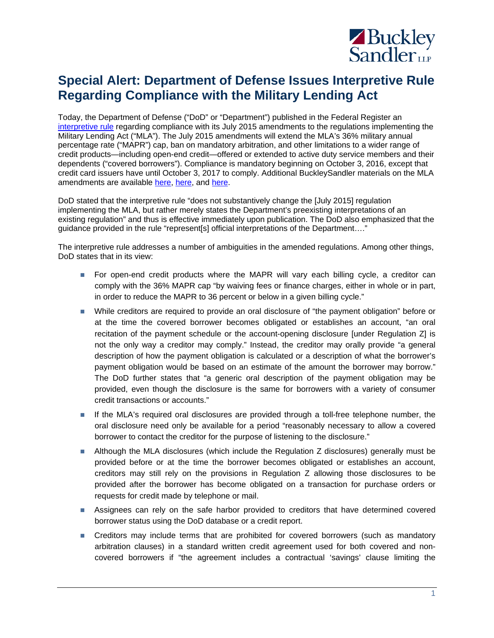

## **Special Alert: Department of Defense Issues Interpretive Rule Regarding Compliance with the Military Lending Act**

Today, the Department of Defense ("DoD" or "Department") published in the Federal Register an [interpretive rule](https://www.gpo.gov/fdsys/pkg/FR-2016-08-26/pdf/2016-20486.pdf) regarding compliance with its July 2015 amendments to the regulations implementing the Military Lending Act ("MLA"). The July 2015 amendments will extend the MLA's 36% military annual percentage rate ("MAPR") cap, ban on mandatory arbitration, and other limitations to a wider range of credit products—including open-end credit—offered or extended to active duty service members and their dependents ("covered borrowers"). Compliance is mandatory beginning on October 3, 2016, except that credit card issuers have until October 3, 2017 to comply. Additional BuckleySandler materials on the MLA amendments are available [here,](http://www.infobytesblog.com/spotlight-on-the-military-lending-act-part-2-planning-for-compliance/) here, and [here.](http://www.buckleysandler.com/news-detail/spotlight-on-the-military-lending-act-part-3-falling-in-line-with-mla-complianc)

DoD stated that the interpretive rule "does not substantively change the [July 2015] regulation implementing the MLA, but rather merely states the Department's preexisting interpretations of an existing regulation" and thus is effective immediately upon publication. The DoD also emphasized that the guidance provided in the rule "represent[s] official interpretations of the Department…."

The interpretive rule addresses a number of ambiguities in the amended regulations. Among other things, DoD states that in its view:

- **For open-end credit products where the MAPR will vary each billing cycle, a creditor can** comply with the 36% MAPR cap "by waiving fees or finance charges, either in whole or in part, in order to reduce the MAPR to 36 percent or below in a given billing cycle."
- While creditors are required to provide an oral disclosure of "the payment obligation" before or at the time the covered borrower becomes obligated or establishes an account, "an oral recitation of the payment schedule or the account-opening disclosure [under Regulation Z] is not the only way a creditor may comply." Instead, the creditor may orally provide "a general description of how the payment obligation is calculated or a description of what the borrower's payment obligation would be based on an estimate of the amount the borrower may borrow." The DoD further states that "a generic oral description of the payment obligation may be provided, even though the disclosure is the same for borrowers with a variety of consumer credit transactions or accounts."
- If the MLA's required oral disclosures are provided through a toll-free telephone number, the oral disclosure need only be available for a period "reasonably necessary to allow a covered borrower to contact the creditor for the purpose of listening to the disclosure."
- **Although the MLA disclosures (which include the Regulation Z disclosures) generally must be** provided before or at the time the borrower becomes obligated or establishes an account, creditors may still rely on the provisions in Regulation Z allowing those disclosures to be provided after the borrower has become obligated on a transaction for purchase orders or requests for credit made by telephone or mail.
- Assignees can rely on the safe harbor provided to creditors that have determined covered borrower status using the DoD database or a credit report.
- **Creditors may include terms that are prohibited for covered borrowers (such as mandatory** arbitration clauses) in a standard written credit agreement used for both covered and noncovered borrowers if "the agreement includes a contractual 'savings' clause limiting the